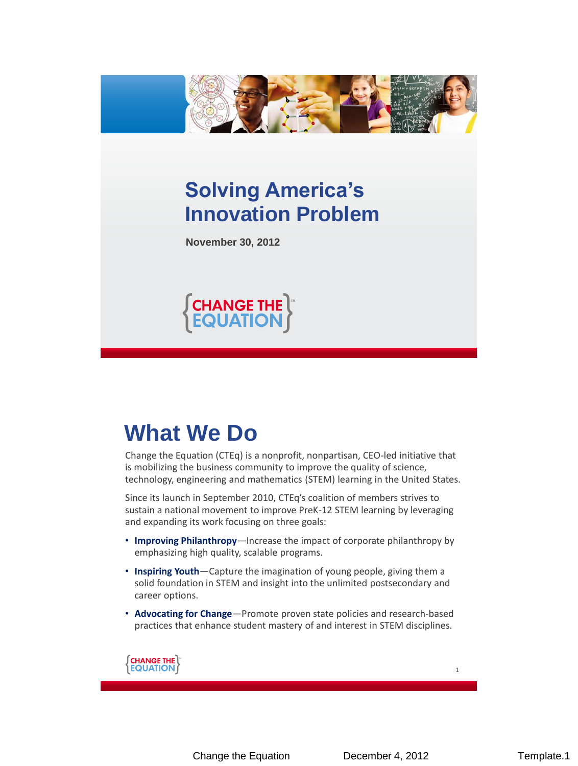

#### **Solving America's Innovation Problem**

**November 30, 2012**



#### **What We Do**

Change the Equation (CTEq) is a nonprofit, nonpartisan, CEO-led initiative that is mobilizing the business community to improve the quality of science, technology, engineering and mathematics (STEM) learning in the United States.

Since its launch in September 2010, CTEq's coalition of members strives to sustain a national movement to improve PreK-12 STEM learning by leveraging and expanding its work focusing on three goals:

- **Improving Philanthropy***—*Increase the impact of corporate philanthropy by emphasizing high quality, scalable programs.
- **Inspiring Youth**—Capture the imagination of young people, giving them a solid foundation in STEM and insight into the unlimited postsecondary and career options.
- **Advocating for Change**—Promote proven state policies and research-based practices that enhance student mastery of and interest in STEM disciplines.

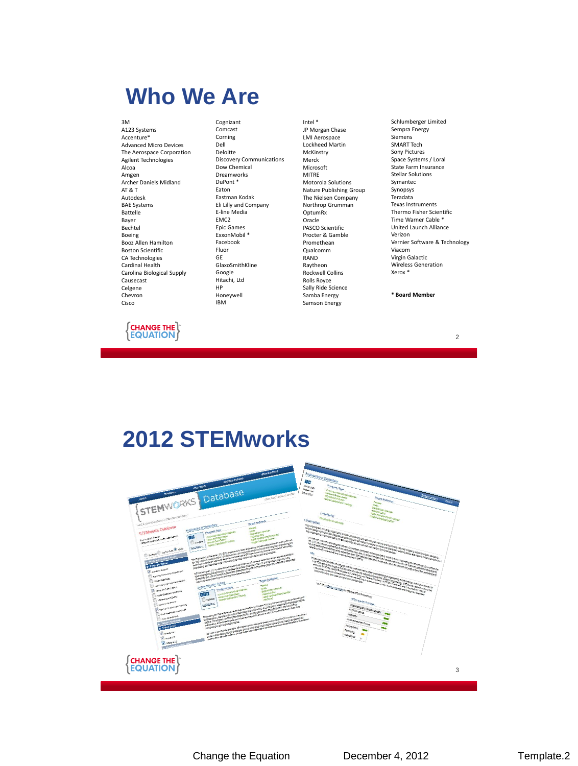#### **Who We Are**

3M A123 Systems Accenture\* Advanced Micro Devices The Aerospace Corporation Agilent Technologies Alcoa Amgen Archer Daniels Midland AT & T Autodesk BAE Systems Battelle Bayer Bechtel Boeing Booz Allen Hamilton Boston Scientific CA Technologies Cardinal Health Carolina Biological Supply Causecast Celgene Chevron Cisco



Cognizant Comcast Corning Dell Deloitte Discovery Communications Dow Chemical Dreamworks DuPont \* Eaton Eastman Kodak Eli Lilly and Company E-line Media EMC2 Epic Games ExxonMobil \* Facebook Fluor GE GlaxoSmithKline Google Hitachi, Ltd HP Honeywell IBM

Intel \* JP Morgan Chase LMI Aerospace Lockheed Martin McKinstry Merck Microsoft MITRE Motorola Solutions Nature Publishing Group The Nielsen Company Northrop Grumman OptumRx **Oracle** PASCO Scientific Procter & Gamble Promethean Qualcomm RAND Raytheon Rockwell Collins Rolls Royce Sally Ride Science Samba Energy Samson Energy

Schlumberger Limited Sempra Energy Siemens SMART Tech Sony Pictures Space Systems / Loral State Farm Insurance Stellar Solutions Symantec Synopsys Teradata Texas Instruments Thermo Fisher Scientific Time Warner Cable \* United Launch Alliance Verizon Vernier Software & Technology Viacom Virgin Galactic Wireless Generation Xerox \*

**\* Board Member**

#### 2

#### **2012 STEMworks**

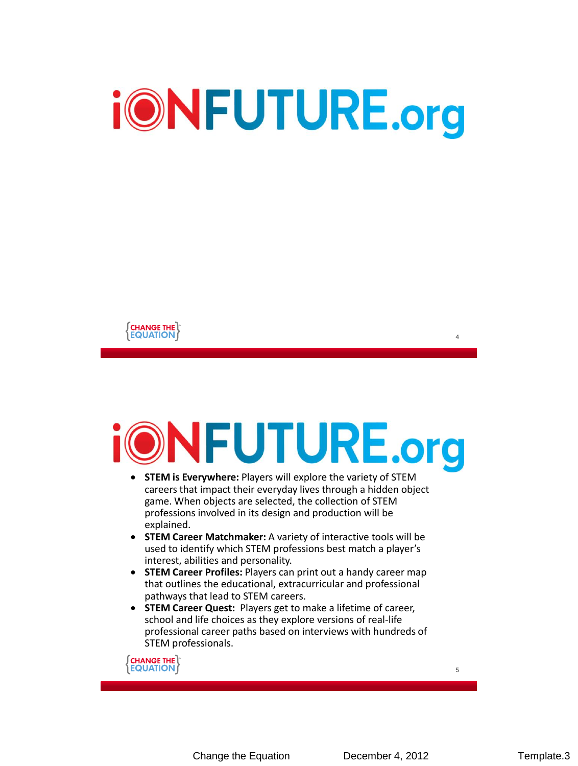



# **DNFUTURE.org**

- **STEM is Everywhere:** Players will explore the variety of STEM careers that impact their everyday lives through a hidden object game. When objects are selected, the collection of STEM professions involved in its design and production will be explained.
- **STEM Career Matchmaker:** A variety of interactive tools will be used to identify which STEM professions best match a player's interest, abilities and personality.
- **STEM Career Profiles:** Players can print out a handy career map that outlines the educational, extracurricular and professional pathways that lead to STEM careers.
- **STEM Career Quest:** Players get to make a lifetime of career, school and life choices as they explore versions of real-life professional career paths based on interviews with hundreds of STEM professionals.

*S***CHANGE THE THE THE THE ST**<br>**THE QUATION** 

Change the Equation December 4, 2012 Template.3

4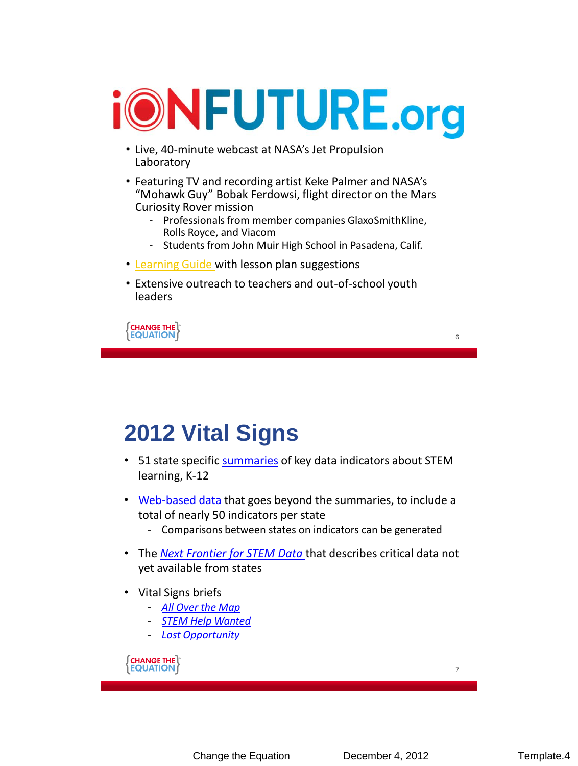

- Live, 40-minute webcast at NASA's Jet Propulsion Laboratory
- Featuring TV and recording artist Keke Palmer and NASA's "Mohawk Guy" Bobak Ferdowsi, flight director on the Mars Curiosity Rover mission
	- Professionals from member companies GlaxoSmithKline, Rolls Royce, and Viacom
	- Students from John Muir High School in Pasadena, Calif.
- [Learning Guide w](http://changetheequation.org/sites/default/files/iON Future Learning Guide Fall 2012.pdf)ith lesson plan suggestions
- Extensive outreach to teachers and out-of-school youth leaders

*S***CHANGE THE THE THE THE T**<br>THE **EQUATION** 

#### **2012 Vital Signs**

- 51 state specific [summaries](http://changetheequation.org/state-summaries) of key data indicators about STEM learning, K-12
- [Web-based data](http://vitalsigns.changetheequation.org/) that goes beyond the summaries, to include a total of nearly 50 indicators per state
	- Comparisons between states on indicators can be generated
- The *[Next Frontier for STEM Data](http://changetheequation.org/next-frontier-data)* that describes critical data not yet available from states
- Vital Signs briefs
	- *[All Over the Map](http://changetheequation.org/scienceproficiency)*
	- *[STEM Help Wanted](http://changetheequation.org/stemdemand)*
	- *[Lost Opportunity](http://changetheequation.org/lost-opportunity)*

*S***CHANGE THE THE THE THE ST**<br>**REQUATION A** 

6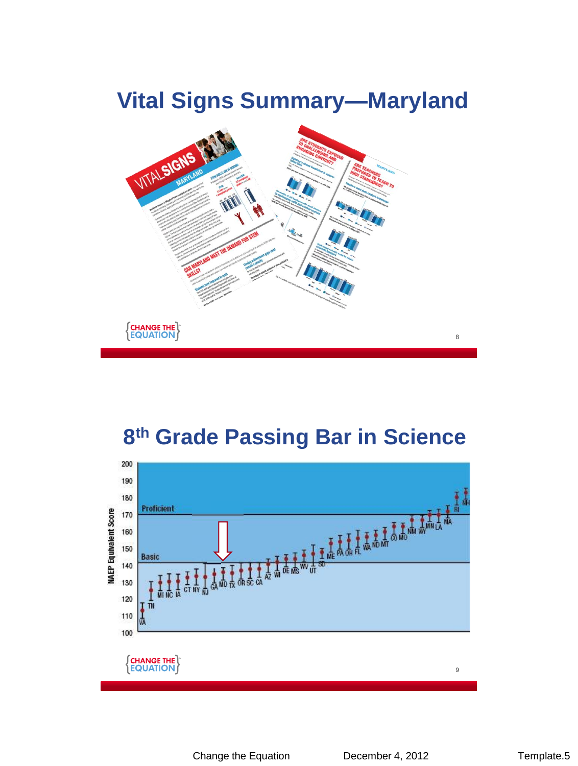### **Vital Signs Summary—Maryland**



#### **8 th Grade Passing Bar in Science**

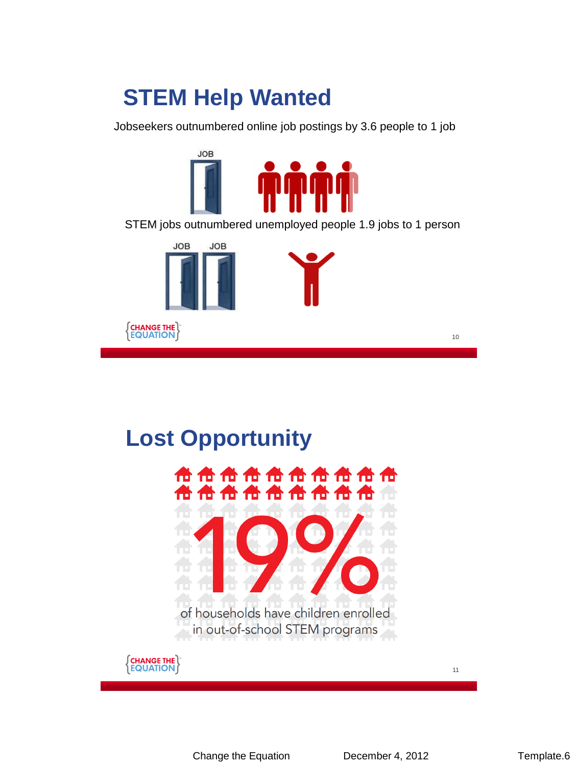## **STEM Help Wanted**

Jobseekers outnumbered online job postings by 3.6 people to 1 job



STEM jobs outnumbered unemployed people 1.9 jobs to 1 person



#### **Lost Opportunity**